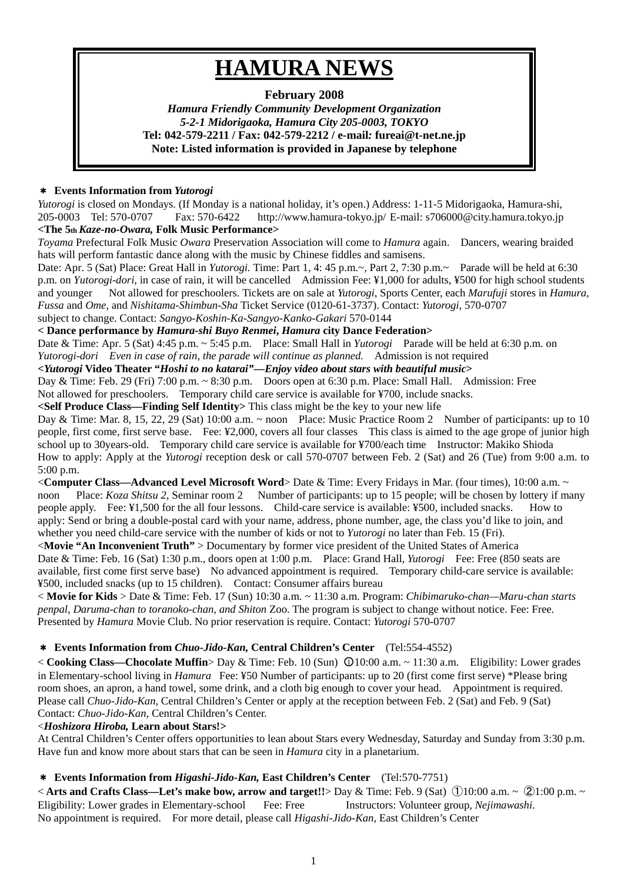# **HAMURA NEWS**

## **February 2008**

*Hamura Friendly Community Development Organization 5-2-1 Midorigaoka, Hamura City 205-0003, TOKYO*  **Tel: 042-579-2211 / Fax: 042-579-2212 / e-mail***:* **fureai@t-net.ne.jp Note: Listed information is provided in Japanese by telephone** 

## \* **Events Information from** *Yutorogi*

*Yutorogi* is closed on Mondays. (If Monday is a national holiday, it's open.) Address: 1-11-5 Midorigaoka, Hamura-shi, 205-0003 Tel: 570-0707 Fax: 570-6422 http://www.hamura-tokyo.jp/ E-mail: s706000@city.hamura.tokyo.jp **<The 5th** *Kaze-no-Owara,* **Folk Music Performance>** 

*Toyama* Prefectural Folk Music *Owara* Preservation Association will come to *Hamura* again. Dancers, wearing braided hats will perform fantastic dance along with the music by Chinese fiddles and samisens.

Date: Apr. 5 (Sat) Place: Great Hall in *Yutorogi*. Time: Part 1, 4: 45 p.m.~, Part 2, 7:30 p.m.~ Parade will be held at 6:30 p.m. on *Yutorogi-dori*, in case of rain, it will be cancelled Admission Fee: ¥1,000 for adults, ¥500 for high school students and younger Not allowed for preschoolers. Tickets are on sale at *Yutorogi*, Sports Center, each *Marufuji* stores in *Hamura, Fussa* and *Ome*, and *Nishitama-Shimbun-Sha* Ticket Service (0120-61-3737). Contact: *Yutorogi*, 570-0707 subject to change. Contact: *Sangyo-Koshin-Ka-Sangyo-Kanko-Gakari* 570-0144

**< Dance performance by** *Hamura-shi Buyo Renmei***,** *Hamura* **city Dance Federation>** 

Date & Time: Apr. 5 (Sat) 4:45 p.m. ~ 5:45 p.m. Place: Small Hall in *Yutorogi* Parade will be held at 6:30 p.m. on *Yutorogi-dori Even in case of rain, the parade will continue as planned.* Admission is not required

**<***Yutorogi* **Video Theater "***Hoshi to no katarai"—Enjoy video about stars with beautiful music***>**

Day & Time: Feb. 29 (Fri) 7:00 p.m. ~ 8:30 p.m. Doors open at 6:30 p.m. Place: Small Hall. Admission: Free Not allowed for preschoolers. Temporary child care service is available for ¥700, include snacks.

**<Self Produce Class—Finding Self Identity>** This class might be the key to your new life

Day & Time: Mar. 8, 15, 22, 29 (Sat) 10:00 a.m. ~ noon Place: Music Practice Room 2 Number of participants: up to 10 people, first come, first serve base. Fee: ¥2,000, covers all four classes This class is aimed to the age grope of junior high school up to 30years-old. Temporary child care service is available for ¥700/each time Instructor: Makiko Shioda How to apply: Apply at the *Yutorogi* reception desk or call 570-0707 between Feb. 2 (Sat) and 26 (Tue) from 9:00 a.m. to 5:00 p.m.

<**Computer Class—Advanced Level Microsoft Word**> Date & Time: Every Fridays in Mar. (four times), 10:00 a.m. ~ noon Place: *Koza Shitsu 2*, Seminar room 2 Number of participants: up to 15 people; will be chosen by lottery if many people apply. Fee: ¥1,500 for the all four lessons. Child-care service is available: ¥500, included snacks. How to apply: Send or bring a double-postal card with your name, address, phone number, age, the class you'd like to join, and whether you need child-care service with the number of kids or not to *Yutorogi* no later than Feb. 15 (Fri).

<**Movie "An Inconvenient Truth"** > Documentary by former vice president of the United States of America Date & Time: Feb. 16 (Sat) 1:30 p.m., doors open at 1:00 p.m. Place: Grand Hall, *Yutorogi* Fee: Free (850 seats are available, first come first serve base) No advanced appointment is required. Temporary child-care service is available: ¥500, included snacks (up to 15 children). Contact: Consumer affairs bureau

< **Movie for Kids** > Date & Time: Feb. 17 (Sun) 10:30 a.m. ~ 11:30 a.m. Program: *Chibimaruko-chan—Maru-chan starts penpal, Daruma-chan to toranoko-chan, and Shiton* Zoo. The program is subject to change without notice. Fee: Free. Presented by *Hamura* Movie Club. No prior reservation is require. Contact: *Yutorogi* 570-0707

## \* **Events Information from** *Chuo-Jido-Kan,* **Central Children's Center** (Tel:554-4552)

<**Cooking Class—Chocolate Muffin**> Day & Time: Feb. 10 (Sun)  $\bigcirc$  10:00 a.m. ~ 11:30 a.m. Eligibility: Lower grades in Elementary-school living in *Hamura* Fee: ¥50 Number of participants: up to 20 (first come first serve) \*Please bring room shoes, an apron, a hand towel, some drink, and a cloth big enough to cover your head. Appointment is required. Please call *Chuo-Jido-Kan*, Central Children's Center or apply at the reception between Feb. 2 (Sat) and Feb. 9 (Sat) Contact: *Chuo-Jido-Kan,* Central Children's Center.

#### <*Hoshizora Hiroba,* **Learn about Stars!***>*

At Central Children's Center offers opportunities to lean about Stars every Wednesday, Saturday and Sunday from 3:30 p.m. Have fun and know more about stars that can be seen in *Hamura* city in a planetarium.

## \* **Events Information from** *Higashi-Jido-Kan,* **East Children's Center** (Tel:570-7751)

< **Arts and Crafts Class—Let's make bow, arrow and target!!**> Day & Time: Feb. 9 (Sat) ①10:00 a.m. ~ ②1:00 p.m. ~ Eligibility: Lower grades in Elementary-school Fee: Free Instructors: Volunteer group, *Nejimawashi*. No appointment is required. For more detail, please call *Higashi-Jido-Kan,* East Children's Center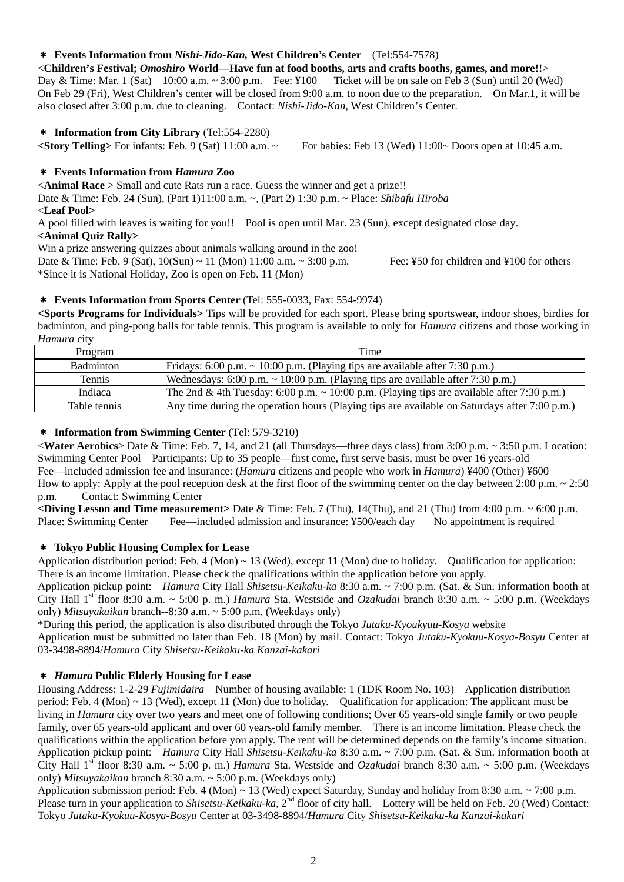## \* **Events Information from** *Nishi-Jido-Kan,* **West Children's Center** (Tel:554-7578)

<**Children's Festival;** *Omoshiro* **World—Have fun at food booths, arts and crafts booths, games, and more!!**> Day & Time: Mar. 1 (Sat) 10:00 a.m. ~ 3:00 p.m. Fee: ¥100 Ticket will be on sale on Feb 3 (Sun) until 20 (Wed) On Feb 29 (Fri), West Children's center will be closed from 9:00 a.m. to noon due to the preparation. On Mar.1, it will be also closed after 3:00 p.m. due to cleaning. Contact: *Nishi-Jido-Kan,* West Children's Center.

#### \* **Information from City Library** (Tel:554-2280)

**<Story Telling>** For infants: Feb. 9 (Sat) 11:00 a.m. ~ For babies: Feb 13 (Wed) 11:00~ Doors open at 10:45 a.m.

#### \* **Events Information from** *Hamura* **Zoo**

<**Animal Race** > Small and cute Rats run a race. Guess the winner and get a prize!! Date & Time: Feb. 24 (Sun), (Part 1)11:00 a.m. ~, (Part 2) 1:30 p.m. ~ Place: *Shibafu Hiroba*  <**Leaf Pool>**  A pool filled with leaves is waiting for you!! Pool is open until Mar. 23 (Sun), except designated close day.

#### **<Animal Quiz Rally>**

Win a prize answering quizzes about animals walking around in the zoo!

Date & Time: Feb. 9 (Sat),  $10(Sun) \sim 11$  (Mon) 11:00 a.m.  $\sim 3:00$  p.m. Fee: ¥50 for children and ¥100 for others \*Since it is National Holiday, Zoo is open on Feb. 11 (Mon)

#### \* **Events Information from Sports Center** (Tel: 555-0033, Fax: 554-9974)

**<Sports Programs for Individuals>** Tips will be provided for each sport. Please bring sportswear, indoor shoes, birdies for badminton, and ping-pong balls for table tennis. This program is available to only for *Hamura* citizens and those working in *Hamura* city

| Program          | Time                                                                                            |
|------------------|-------------------------------------------------------------------------------------------------|
| <b>Badminton</b> | Fridays: 6:00 p.m. $\sim$ 10:00 p.m. (Playing tips are available after 7:30 p.m.)               |
| Tennis           | Wednesdays: 6:00 p.m. $\sim$ 10:00 p.m. (Playing tips are available after 7:30 p.m.)            |
| Indiaca          | The 2nd & 4th Tuesday: 6:00 p.m. $\sim 10:00$ p.m. (Playing tips are available after 7:30 p.m.) |
| Table tennis     | Any time during the operation hours (Playing tips are available on Saturdays after 7:00 p.m.)   |

#### \* **Information from Swimming Center** (Tel: 579-3210)

<**Water Aerobics**> Date & Time: Feb. 7, 14, and 21 (all Thursdays—three days class) from 3:00 p.m. ~ 3:50 p.m. Location: Swimming Center Pool Participants: Up to 35 people—first come, first serve basis, must be over 16 years-old Fee—included admission fee and insurance: (*Hamura* citizens and people who work in *Hamura*) ¥400 (Other) ¥600 How to apply: Apply at the pool reception desk at the first floor of the swimming center on the day between  $2:00$  p.m.  $\sim 2:50$ p.m. Contact: Swimming Center

**<Diving Lesson and Time measurement>** Date & Time: Feb. 7 (Thu), 14(Thu), and 21 (Thu) from 4:00 p.m. ~ 6:00 p.m. Place: Swimming Center Fee—included admission and insurance: ¥500/each day No appointment is required

#### \* **Tokyo Public Housing Complex for Lease**

Application distribution period: Feb. 4 (Mon)  $\sim$  13 (Wed), except 11 (Mon) due to holiday. Qualification for application: There is an income limitation. Please check the qualifications within the application before you apply.

Application pickup point: *Hamura* City Hall *Shisetsu-Keikaku-ka* 8:30 a.m. ~ 7:00 p.m. (Sat. & Sun. information booth at City Hall 1st floor 8:30 a.m. ~ 5:00 p. m.) *Hamura* Sta. Westside and *Ozakudai* branch 8:30 a.m. ~ 5:00 p.m. (Weekdays only) *Mitsuyakaikan* branch--8:30 a.m. ~ 5:00 p.m. (Weekdays only)

\*During this period, the application is also distributed through the Tokyo *Jutaku-Kyoukyuu-Kosya* website Application must be submitted no later than Feb. 18 (Mon) by mail. Contact: Tokyo *Jutaku-Kyokuu-Kosya-Bosyu* Center at 03-3498-8894/*Hamura* City *Shisetsu-Keikaku-ka Kanzai-kakari*

#### \* *Hamura* **Public Elderly Housing for Lease**

Housing Address: 1-2-29 *Fujimidaira* Number of housing available: 1 (1DK Room No. 103) Application distribution period: Feb. 4 (Mon)  $\sim$  13 (Wed), except 11 (Mon) due to holiday. Qualification for application: The applicant must be living in *Hamura* city over two years and meet one of following conditions; Over 65 years-old single family or two people family, over 65 years-old applicant and over 60 years-old family member. There is an income limitation. Please check the qualifications within the application before you apply. The rent will be determined depends on the family's income situation. Application pickup point: *Hamura* City Hall *Shisetsu-Keikaku-ka* 8:30 a.m. ~ 7:00 p.m. (Sat. & Sun. information booth at City Hall 1st floor 8:30 a.m. ~ 5:00 p. m.) *Hamura* Sta. Westside and *Ozakudai* branch 8:30 a.m. ~ 5:00 p.m. (Weekdays only) *Mitsuyakaikan* branch 8:30 a.m. ~ 5:00 p.m. (Weekdays only)

Application submission period: Feb. 4 (Mon) ~ 13 (Wed) expect Saturday, Sunday and holiday from 8:30 a.m. ~ 7:00 p.m. Please turn in your application to *Shisetsu-Keikaku-ka*, 2<sup>nd</sup> floor of city hall. Lottery will be held on Feb. 20 (Wed) Contact: Tokyo *Jutaku-Kyokuu-Kosya-Bosyu* Center at 03-3498-8894/*Hamura* City *Shisetsu-Keikaku-ka Kanzai-kakari*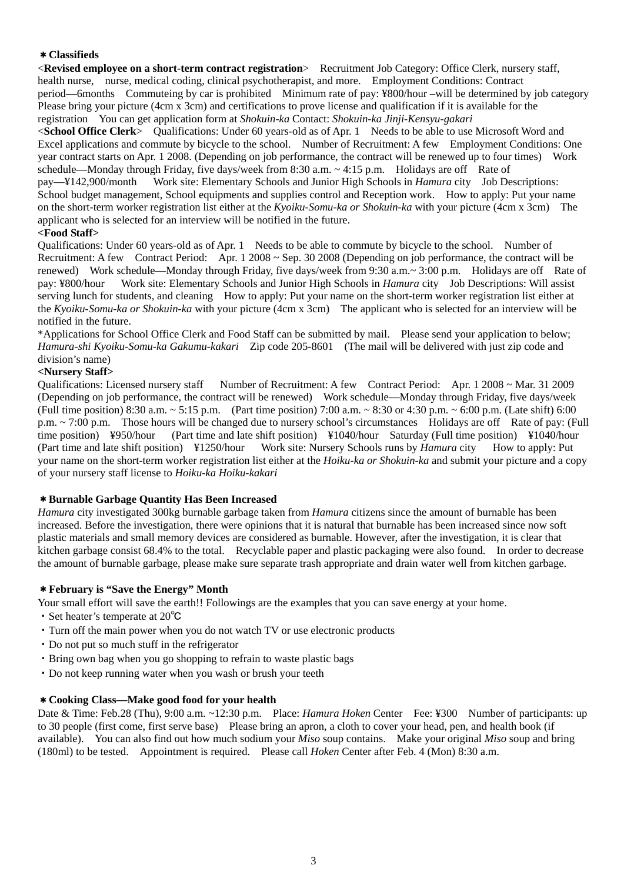## \***Classifieds**

<**Revised employee on a short-term contract registration**> Recruitment Job Category: Office Clerk, nursery staff, health nurse, nurse, medical coding, clinical psychotherapist, and more. Employment Conditions: Contract period—6months Commuteing by car is prohibited Minimum rate of pay: ¥800/hour –will be determined by job category Please bring your picture (4cm x 3cm) and certifications to prove license and qualification if it is available for the registration You can get application form at *Shokuin-ka* Contact: *Shokuin-ka Jinji-Kensyu-gakari*

<**School Office Clerk**> Qualifications: Under 60 years-old as of Apr. 1 Needs to be able to use Microsoft Word and Excel applications and commute by bicycle to the school. Number of Recruitment: A few Employment Conditions: One year contract starts on Apr. 1 2008. (Depending on job performance, the contract will be renewed up to four times) Work schedule—Monday through Friday, five days/week from 8:30 a.m.  $\sim$  4:15 p.m. Holidays are off Rate of pay—¥142,900/month Work site: Elementary Schools and Junior High Schools in *Hamura* city Job Descriptions: School budget management, School equipments and supplies control and Reception work. How to apply: Put your name on the short-term worker registration list either at the *Kyoiku-Somu-ka or Shokuin-ka* with your picture (4cm x 3cm) The applicant who is selected for an interview will be notified in the future.

## **<Food Staff>**

Qualifications: Under 60 years-old as of Apr. 1 Needs to be able to commute by bicycle to the school. Number of Recruitment: A few Contract Period: Apr. 1 2008 ~ Sep. 30 2008 (Depending on job performance, the contract will be renewed) Work schedule—Monday through Friday, five days/week from 9:30 a.m.~ 3:00 p.m. Holidays are off Rate of pay: ¥800/hour Work site: Elementary Schools and Junior High Schools in *Hamura* city Job Descriptions: Will assist serving lunch for students, and cleaning How to apply: Put your name on the short-term worker registration list either at the *Kyoiku-Somu-ka or Shokuin-ka* with your picture (4cm x 3cm) The applicant who is selected for an interview will be notified in the future.

\*Applications for School Office Clerk and Food Staff can be submitted by mail. Please send your application to below; *Hamura-shi Kyoiku-Somu-ka Gakumu-kakari* Zip code 205-8601 (The mail will be delivered with just zip code and division's name)

#### **<Nursery Staff>**

Qualifications: Licensed nursery staff Number of Recruitment: A few Contract Period: Apr. 1 2008 ~ Mar. 31 2009 (Depending on job performance, the contract will be renewed) Work schedule—Monday through Friday, five days/week (Full time position) 8:30 a.m.  $\sim 5:15$  p.m. (Part time position) 7:00 a.m.  $\sim 8:30$  or 4:30 p.m.  $\sim 6:00$  p.m. (Late shift) 6:00 p.m. ~ 7:00 p.m. Those hours will be changed due to nursery school's circumstances Holidays are off Rate of pay: (Full time position) ¥950/hour (Part time and late shift position) ¥1040/hour Saturday (Full time position) ¥1040/hour (Part time and late shift position) ¥1250/hour Work site: Nursery Schools runs by *Hamura* city How to apply: Put your name on the short-term worker registration list either at the *Hoiku-ka or Shokuin-ka* and submit your picture and a copy of your nursery staff license to *Hoiku-ka Hoiku-kakari* 

#### \***Burnable Garbage Quantity Has Been Increased**

*Hamura* city investigated 300kg burnable garbage taken from *Hamura* citizens since the amount of burnable has been increased. Before the investigation, there were opinions that it is natural that burnable has been increased since now soft plastic materials and small memory devices are considered as burnable. However, after the investigation, it is clear that kitchen garbage consist 68.4% to the total. Recyclable paper and plastic packaging were also found. In order to decrease the amount of burnable garbage, please make sure separate trash appropriate and drain water well from kitchen garbage.

#### \***February is "Save the Energy" Month**

Your small effort will save the earth!! Followings are the examples that you can save energy at your home.

- ・Set heater's temperate at 20℃
- ・Turn off the main power when you do not watch TV or use electronic products
- ・Do not put so much stuff in the refrigerator
- ・Bring own bag when you go shopping to refrain to waste plastic bags
- ・Do not keep running water when you wash or brush your teeth

#### \***Cooking Class—Make good food for your health**

Date & Time: Feb.28 (Thu), 9:00 a.m. ~12:30 p.m. Place: *Hamura Hoken* Center Fee: ¥300 Number of participants: up to 30 people (first come, first serve base) Please bring an apron, a cloth to cover your head, pen, and health book (if available). You can also find out how much sodium your *Miso* soup contains. Make your original *Miso* soup and bring (180ml) to be tested. Appointment is required. Please call *Hoken* Center after Feb. 4 (Mon) 8:30 a.m.